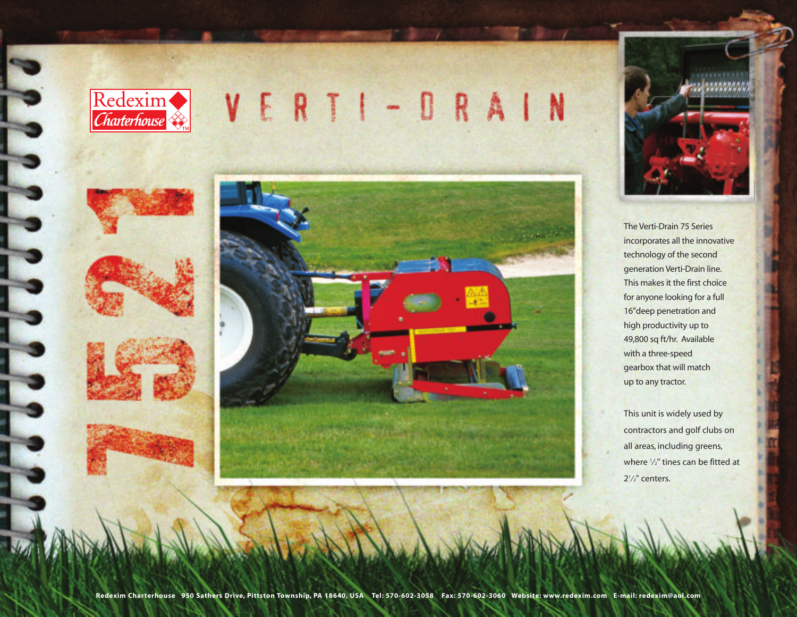







The Verti-Drain 75 Series incorporates all the innovative technology of the second generation Verti-Drain line. This makes it the first choice for anyone looking for a full 16"deep penetration and high productivity up to 49,800 sq ft/hr. Available with a three-speed gearbox that will match up to any tractor.

This unit is widely used by contractors and golf clubs on all areas, including greens, where '/<sub>2</sub>" tines can be fitted at 21 ⁄2" centers.

**Redexim Charterhouse 950 Sathers Drive, Pittston Township, PA 18640, USA Tel: 570-602-3058 Fax: 570-602-3060 Website: www.redexim.com E-mail: redexim@aol.com**